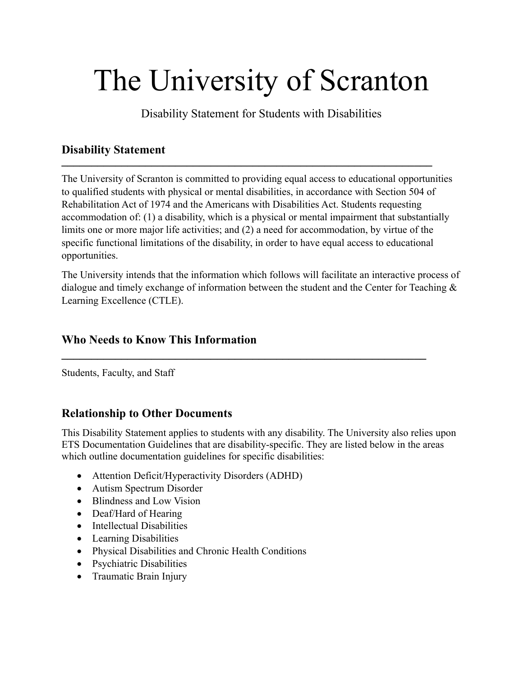# The University of Scranton

Disability Statement for Students with Disabilities

#### **Disability Statement \_\_\_\_\_\_\_\_\_\_\_\_\_\_\_\_\_\_\_\_\_\_\_\_\_\_\_\_\_\_\_\_\_\_\_\_\_\_\_\_\_\_\_\_\_\_\_\_\_\_\_\_\_\_\_\_\_\_\_\_\_\_**

The University of Scranton is committed to providing equal access to educational opportunities to qualified students with physical or mental disabilities, in accordance with Section 504 of Rehabilitation Act of 1974 and the Americans with Disabilities Act. Students requesting accommodation of: (1) a disability, which is a physical or mental impairment that substantially limits one or more major life activities; and (2) a need for accommodation, by virtue of the specific functional limitations of the disability, in order to have equal access to educational opportunities.

The University intends that the information which follows will facilitate an interactive process of dialogue and timely exchange of information between the student and the Center for Teaching & Learning Excellence (CTLE).

**\_\_\_\_\_\_\_\_\_\_\_\_\_\_\_\_\_\_\_\_\_\_\_\_\_\_\_\_\_\_\_\_\_\_\_\_\_\_\_\_\_\_\_\_\_\_\_\_\_\_\_\_\_\_\_\_\_\_\_\_\_**

# **Who Needs to Know This Information**

Students, Faculty, and Staff

# **Relationship to Other Documents**

This Disability Statement applies to students with any disability. The University also relies upon ETS Documentation Guidelines that are disability-specific. They are listed below in the areas which outline documentation guidelines for specific disabilities:

- Attention Deficit/Hyperactivity Disorders (ADHD)
- Autism Spectrum Disorder
- Blindness and Low Vision
- Deaf/Hard of Hearing
- Intellectual Disabilities
- Learning Disabilities
- Physical Disabilities and Chronic Health Conditions
- Psychiatric Disabilities
- Traumatic Brain Injury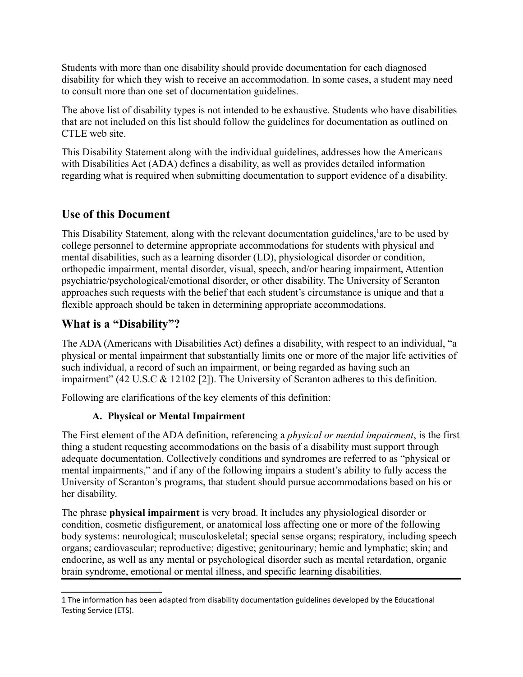Students with more than one disability should provide documentation for each diagnosed disability for which they wish to receive an accommodation. In some cases, a student may need to consult more than one set of documentation guidelines.

The above list of disability types is not intended to be exhaustive. Students who have disabilities that are not included on this list should follow the guidelines for documentation as outlined on CTLE web site.

This Disability Statement along with the individual guidelines, addresses how the Americans with Disabilities Act (ADA) defines a disability, as well as provides detailed information regarding what is required when submitting documentation to support evidence of a disability.

# **Use of this Document**

This Disability Statement, along with the relevant documentation guidelines, are to be used by college personnel to determine appropriate accommodations for students with physical and mental disabilities, such as a learning disorder (LD), physiological disorder or condition, orthopedic impairment, mental disorder, visual, speech, and/or hearing impairment, Attention psychiatric/psychological/emotional disorder, or other disability. The University of Scranton approaches such requests with the belief that each student's circumstance is unique and that a flexible approach should be taken in determining appropriate accommodations.

# **What is a "Disability"?**

The ADA (Americans with Disabilities Act) defines a disability, with respect to an individual, "a physical or mental impairment that substantially limits one or more of the major life activities of such individual, a record of such an impairment, or being regarded as having such an impairment" (42 U.S.C & 12102 [2]). The University of Scranton adheres to this definition.

Following are clarifications of the key elements of this definition:

## **A. Physical or Mental Impairment**

The First element of the ADA definition, referencing a *physical or mental impairment*, is the first thing a student requesting accommodations on the basis of a disability must support through adequate documentation. Collectively conditions and syndromes are referred to as "physical or mental impairments," and if any of the following impairs a student's ability to fully access the University of Scranton's programs, that student should pursue accommodations based on his or her disability.

The phrase **physical impairment** is very broad. It includes any physiological disorder or condition, cosmetic disfigurement, or anatomical loss affecting one or more of the following body systems: neurological; musculoskeletal; special sense organs; respiratory, including speech organs; cardiovascular; reproductive; digestive; genitourinary; hemic and lymphatic; skin; and endocrine, as well as any mental or psychological disorder such as mental retardation, organic brain syndrome, emotional or mental illness, and specific learning disabilities.

<span id="page-1-0"></span><sup>1</sup> The information has been adapted from disability documentation guidelines developed by the Educational Testing Service (ETS).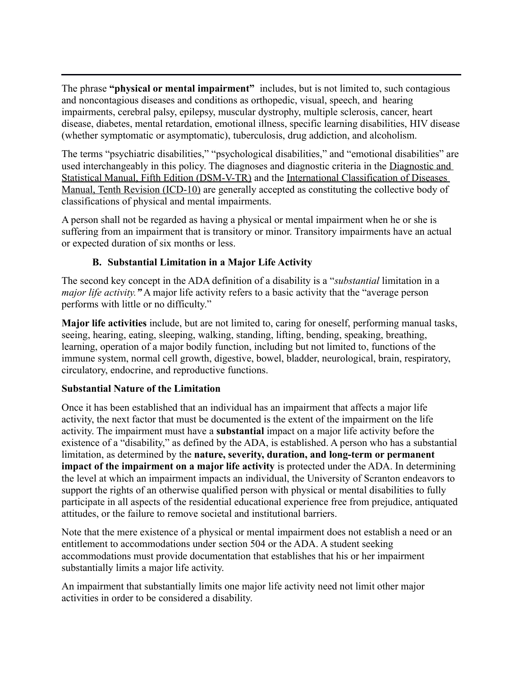The phrase **"physical or mental impairment"** includes, but is not limited to, such contagious and noncontagious diseases and conditions as orthopedic, visual, speech, and hearing impairments, cerebral palsy, epilepsy, muscular dystrophy, multiple sclerosis, cancer, heart disease, diabetes, mental retardation, emotional illness, specific learning disabilities, HIV disease (whether symptomatic or asymptomatic), tuberculosis, drug addiction, and alcoholism.

The terms "psychiatric disabilities," "psychological disabilities," and "emotional disabilities" are used interchangeably in this policy. The diagnoses and diagnostic criteria in the Diagnostic and Statistical Manual, Fifth Edition (DSM-V-TR) and the International Classification of Diseases Manual, Tenth Revision (ICD-10) are generally accepted as constituting the collective body of classifications of physical and mental impairments.

A person shall not be regarded as having a physical or mental impairment when he or she is suffering from an impairment that is transitory or minor. Transitory impairments have an actual or expected duration of six months or less.

## **B. Substantial Limitation in a Major Life Activity**

The second key concept in the ADA definition of a disability is a "*substantial* limitation in a *major life activity."* A major life activity refers to a basic activity that the "average person performs with little or no difficulty."

**Major life activities** include, but are not limited to, caring for oneself, performing manual tasks, seeing, hearing, eating, sleeping, walking, standing, lifting, bending, speaking, breathing, learning, operation of a major bodily function, including but not limited to, functions of the immune system, normal cell growth, digestive, bowel, bladder, neurological, brain, respiratory, circulatory, endocrine, and reproductive functions.

## **Substantial Nature of the Limitation**

Once it has been established that an individual has an impairment that affects a major life activity, the next factor that must be documented is the extent of the impairment on the life activity. The impairment must have a **substantial** impact on a major life activity before the existence of a "disability," as defined by the ADA, is established. A person who has a substantial limitation, as determined by the **nature, severity, duration, and long-term or permanent impact of the impairment on a major life activity** is protected under the ADA. In determining the level at which an impairment impacts an individual, the University of Scranton endeavors to support the rights of an otherwise qualified person with physical or mental disabilities to fully participate in all aspects of the residential educational experience free from prejudice, antiquated attitudes, or the failure to remove societal and institutional barriers.

Note that the mere existence of a physical or mental impairment does not establish a need or an entitlement to accommodations under section 504 or the ADA. A student seeking accommodations must provide documentation that establishes that his or her impairment substantially limits a major life activity.

An impairment that substantially limits one major life activity need not limit other major activities in order to be considered a disability.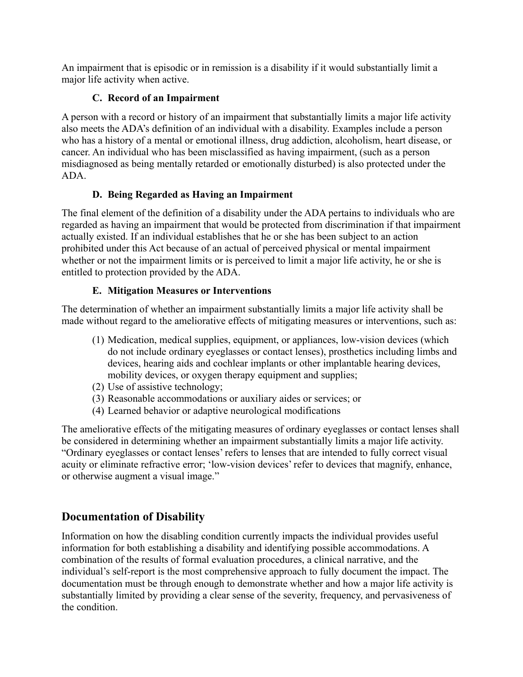An impairment that is episodic or in remission is a disability if it would substantially limit a major life activity when active.

# **C. Record of an Impairment**

A person with a record or history of an impairment that substantially limits a major life activity also meets the ADA's definition of an individual with a disability. Examples include a person who has a history of a mental or emotional illness, drug addiction, alcoholism, heart disease, or cancer. An individual who has been misclassified as having impairment, (such as a person misdiagnosed as being mentally retarded or emotionally disturbed) is also protected under the ADA.

# **D. Being Regarded as Having an Impairment**

The final element of the definition of a disability under the ADA pertains to individuals who are regarded as having an impairment that would be protected from discrimination if that impairment actually existed. If an individual establishes that he or she has been subject to an action prohibited under this Act because of an actual of perceived physical or mental impairment whether or not the impairment limits or is perceived to limit a major life activity, he or she is entitled to protection provided by the ADA.

# **E. Mitigation Measures or Interventions**

The determination of whether an impairment substantially limits a major life activity shall be made without regard to the ameliorative effects of mitigating measures or interventions, such as:

- (1) Medication, medical supplies, equipment, or appliances, low-vision devices (which do not include ordinary eyeglasses or contact lenses), prosthetics including limbs and devices, hearing aids and cochlear implants or other implantable hearing devices, mobility devices, or oxygen therapy equipment and supplies;
- (2) Use of assistive technology;
- (3) Reasonable accommodations or auxiliary aides or services; or
- (4) Learned behavior or adaptive neurological modifications

The ameliorative effects of the mitigating measures of ordinary eyeglasses or contact lenses shall be considered in determining whether an impairment substantially limits a major life activity. "Ordinary eyeglasses or contact lenses' refers to lenses that are intended to fully correct visual acuity or eliminate refractive error; 'low-vision devices' refer to devices that magnify, enhance, or otherwise augment a visual image."

# **Documentation of Disability**

Information on how the disabling condition currently impacts the individual provides useful information for both establishing a disability and identifying possible accommodations. A combination of the results of formal evaluation procedures, a clinical narrative, and the individual's self-report is the most comprehensive approach to fully document the impact. The documentation must be through enough to demonstrate whether and how a major life activity is substantially limited by providing a clear sense of the severity, frequency, and pervasiveness of the condition.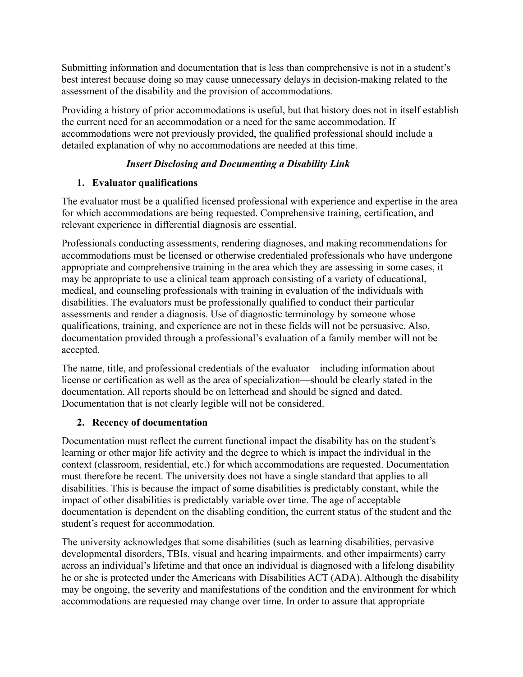Submitting information and documentation that is less than comprehensive is not in a student's best interest because doing so may cause unnecessary delays in decision-making related to the assessment of the disability and the provision of accommodations.

Providing a history of prior accommodations is useful, but that history does not in itself establish the current need for an accommodation or a need for the same accommodation. If accommodations were not previously provided, the qualified professional should include a detailed explanation of why no accommodations are needed at this time.

### *Insert Disclosing and Documenting a Disability Link*

#### **1. Evaluator qualifications**

The evaluator must be a qualified licensed professional with experience and expertise in the area for which accommodations are being requested. Comprehensive training, certification, and relevant experience in differential diagnosis are essential.

Professionals conducting assessments, rendering diagnoses, and making recommendations for accommodations must be licensed or otherwise credentialed professionals who have undergone appropriate and comprehensive training in the area which they are assessing in some cases, it may be appropriate to use a clinical team approach consisting of a variety of educational, medical, and counseling professionals with training in evaluation of the individuals with disabilities. The evaluators must be professionally qualified to conduct their particular assessments and render a diagnosis. Use of diagnostic terminology by someone whose qualifications, training, and experience are not in these fields will not be persuasive. Also, documentation provided through a professional's evaluation of a family member will not be accepted.

The name, title, and professional credentials of the evaluator—including information about license or certification as well as the area of specialization—should be clearly stated in the documentation. All reports should be on letterhead and should be signed and dated. Documentation that is not clearly legible will not be considered.

## **2. Recency of documentation**

Documentation must reflect the current functional impact the disability has on the student's learning or other major life activity and the degree to which is impact the individual in the context (classroom, residential, etc.) for which accommodations are requested. Documentation must therefore be recent. The university does not have a single standard that applies to all disabilities. This is because the impact of some disabilities is predictably constant, while the impact of other disabilities is predictably variable over time. The age of acceptable documentation is dependent on the disabling condition, the current status of the student and the student's request for accommodation.

The university acknowledges that some disabilities (such as learning disabilities, pervasive developmental disorders, TBIs, visual and hearing impairments, and other impairments) carry across an individual's lifetime and that once an individual is diagnosed with a lifelong disability he or she is protected under the Americans with Disabilities ACT (ADA). Although the disability may be ongoing, the severity and manifestations of the condition and the environment for which accommodations are requested may change over time. In order to assure that appropriate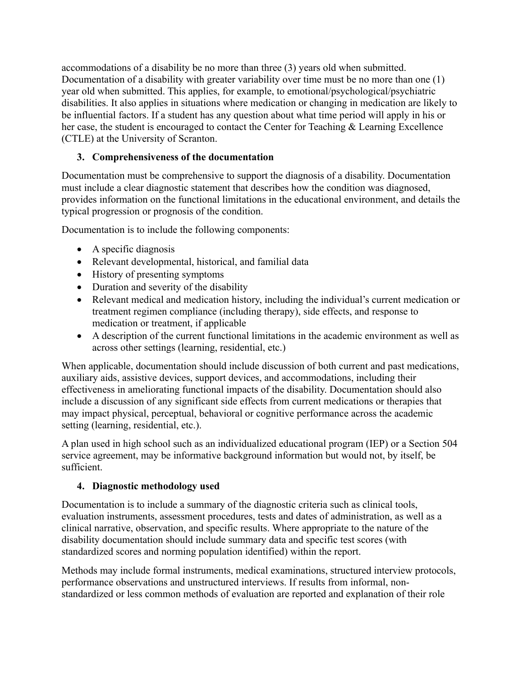accommodations of a disability be no more than three (3) years old when submitted. Documentation of a disability with greater variability over time must be no more than one (1) year old when submitted. This applies, for example, to emotional/psychological/psychiatric disabilities. It also applies in situations where medication or changing in medication are likely to be influential factors. If a student has any question about what time period will apply in his or her case, the student is encouraged to contact the Center for Teaching & Learning Excellence (CTLE) at the University of Scranton.

## **3. Comprehensiveness of the documentation**

Documentation must be comprehensive to support the diagnosis of a disability. Documentation must include a clear diagnostic statement that describes how the condition was diagnosed, provides information on the functional limitations in the educational environment, and details the typical progression or prognosis of the condition.

Documentation is to include the following components:

- A specific diagnosis
- Relevant developmental, historical, and familial data
- History of presenting symptoms
- Duration and severity of the disability
- Relevant medical and medication history, including the individual's current medication or treatment regimen compliance (including therapy), side effects, and response to medication or treatment, if applicable
- A description of the current functional limitations in the academic environment as well as across other settings (learning, residential, etc.)

When applicable, documentation should include discussion of both current and past medications, auxiliary aids, assistive devices, support devices, and accommodations, including their effectiveness in ameliorating functional impacts of the disability. Documentation should also include a discussion of any significant side effects from current medications or therapies that may impact physical, perceptual, behavioral or cognitive performance across the academic setting (learning, residential, etc.).

A plan used in high school such as an individualized educational program (IEP) or a Section 504 service agreement, may be informative background information but would not, by itself, be sufficient.

## **4. Diagnostic methodology used**

Documentation is to include a summary of the diagnostic criteria such as clinical tools, evaluation instruments, assessment procedures, tests and dates of administration, as well as a clinical narrative, observation, and specific results. Where appropriate to the nature of the disability documentation should include summary data and specific test scores (with standardized scores and norming population identified) within the report.

Methods may include formal instruments, medical examinations, structured interview protocols, performance observations and unstructured interviews. If results from informal, nonstandardized or less common methods of evaluation are reported and explanation of their role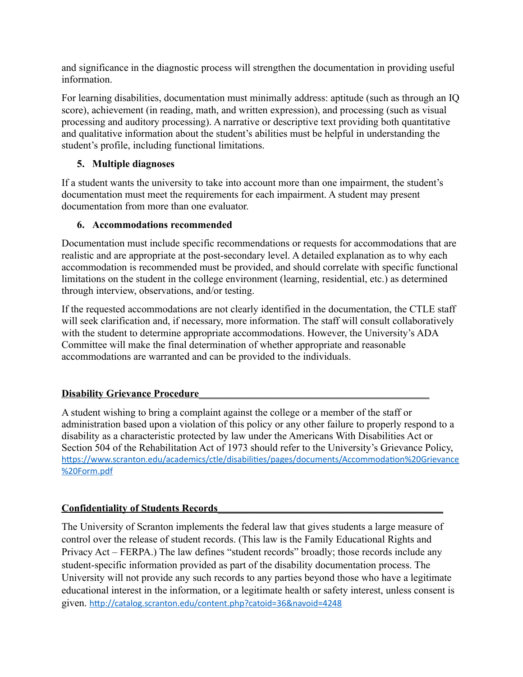and significance in the diagnostic process will strengthen the documentation in providing useful information.

For learning disabilities, documentation must minimally address: aptitude (such as through an IQ score), achievement (in reading, math, and written expression), and processing (such as visual processing and auditory processing). A narrative or descriptive text providing both quantitative and qualitative information about the student's abilities must be helpful in understanding the student's profile, including functional limitations.

## **5. Multiple diagnoses**

If a student wants the university to take into account more than one impairment, the student's documentation must meet the requirements for each impairment. A student may present documentation from more than one evaluator.

# **6. Accommodations recommended**

Documentation must include specific recommendations or requests for accommodations that are realistic and are appropriate at the post-secondary level. A detailed explanation as to why each accommodation is recommended must be provided, and should correlate with specific functional limitations on the student in the college environment (learning, residential, etc.) as determined through interview, observations, and/or testing.

If the requested accommodations are not clearly identified in the documentation, the CTLE staff will seek clarification and, if necessary, more information. The staff will consult collaboratively with the student to determine appropriate accommodations. However, the University's ADA Committee will make the final determination of whether appropriate and reasonable accommodations are warranted and can be provided to the individuals.

# **Disability Grievance Procedure**

A student wishing to bring a complaint against the college or a member of the staff or administration based upon a violation of this policy or any other failure to properly respond to a disability as a characteristic protected by law under the Americans With Disabilities Act or Section 504 of the Rehabilitation Act of 1973 should refer to the University's Grievance Policy, [https://www.scranton.edu/academics/ctle/disabilities/pages/documents/Accommodation%20Grievance](https://www.scranton.edu/academics/ctle/disabilities/pages/documents/Accommodation%20Grievance%20Form.pdf) [%20Form.pdf](https://www.scranton.edu/academics/ctle/disabilities/pages/documents/Accommodation%20Grievance%20Form.pdf)

# **Confidentiality of Students Records** \_\_\_\_\_\_\_\_\_\_\_\_\_\_\_\_\_\_\_\_\_\_\_\_\_\_\_\_\_\_\_\_\_\_\_\_\_\_\_\_\_\_\_\_

The University of Scranton implements the federal law that gives students a large measure of control over the release of student records. (This law is the Family Educational Rights and Privacy Act – FERPA.) The law defines "student records" broadly; those records include any student-specific information provided as part of the disability documentation process. The University will not provide any such records to any parties beyond those who have a legitimate educational interest in the information, or a legitimate health or safety interest, unless consent is given. <http://catalog.scranton.edu/content.php?catoid=36&navoid=4248>